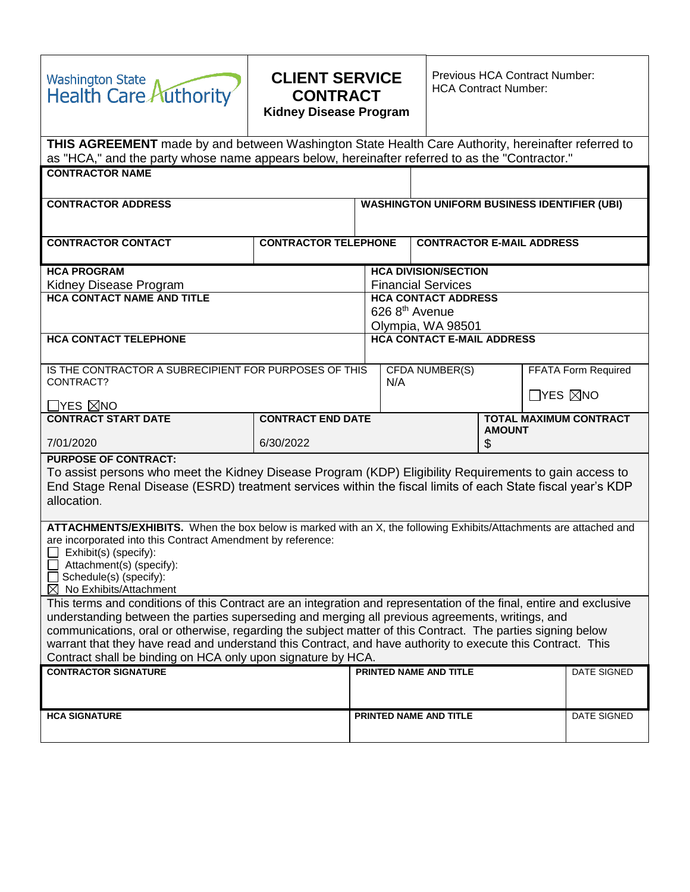| <b>Washington State</b><br><b>Health Care Authority</b>                                                                                                                                                                                                                                                                                                                                                                                                                                                               | <b>CLIENT SERVICE</b><br><b>CONTRACT</b><br><b>Kidney Disease Program</b>  |                                                                                                                      |                                                                                  | <b>Previous HCA Contract Number:</b><br><b>HCA Contract Number:</b> |  |             |             |  |
|-----------------------------------------------------------------------------------------------------------------------------------------------------------------------------------------------------------------------------------------------------------------------------------------------------------------------------------------------------------------------------------------------------------------------------------------------------------------------------------------------------------------------|----------------------------------------------------------------------------|----------------------------------------------------------------------------------------------------------------------|----------------------------------------------------------------------------------|---------------------------------------------------------------------|--|-------------|-------------|--|
| THIS AGREEMENT made by and between Washington State Health Care Authority, hereinafter referred to<br>as "HCA," and the party whose name appears below, hereinafter referred to as the "Contractor."                                                                                                                                                                                                                                                                                                                  |                                                                            |                                                                                                                      |                                                                                  |                                                                     |  |             |             |  |
| <b>CONTRACTOR NAME</b>                                                                                                                                                                                                                                                                                                                                                                                                                                                                                                |                                                                            |                                                                                                                      |                                                                                  |                                                                     |  |             |             |  |
| <b>CONTRACTOR ADDRESS</b>                                                                                                                                                                                                                                                                                                                                                                                                                                                                                             |                                                                            |                                                                                                                      | <b>WASHINGTON UNIFORM BUSINESS IDENTIFIER (UBI)</b>                              |                                                                     |  |             |             |  |
| <b>CONTRACTOR CONTACT</b>                                                                                                                                                                                                                                                                                                                                                                                                                                                                                             | <b>CONTRACTOR TELEPHONE</b>                                                |                                                                                                                      |                                                                                  | <b>CONTRACTOR E-MAIL ADDRESS</b>                                    |  |             |             |  |
| <b>HCA PROGRAM</b><br>Kidney Disease Program<br><b>HCA CONTACT NAME AND TITLE</b>                                                                                                                                                                                                                                                                                                                                                                                                                                     |                                                                            | <b>HCA DIVISION/SECTION</b><br><b>Financial Services</b><br><b>HCA CONTACT ADDRESS</b><br>626 8 <sup>th</sup> Avenue |                                                                                  |                                                                     |  |             |             |  |
| <b>HCA CONTACT TELEPHONE</b>                                                                                                                                                                                                                                                                                                                                                                                                                                                                                          |                                                                            |                                                                                                                      |                                                                                  | Olympia, WA 98501<br><b>HCA CONTACT E-MAIL ADDRESS</b>              |  |             |             |  |
| IS THE CONTRACTOR A SUBRECIPIENT FOR PURPOSES OF THIS<br>CONTRACT?<br>_YES ⊠NO                                                                                                                                                                                                                                                                                                                                                                                                                                        |                                                                            |                                                                                                                      | <b>FFATA Form Required</b><br>CFDA NUMBER(S)<br>N/A<br>$\Box$ yes $\boxtimes$ no |                                                                     |  |             |             |  |
| <b>CONTRACT START DATE</b>                                                                                                                                                                                                                                                                                                                                                                                                                                                                                            | <b>CONTRACT END DATE</b><br><b>TOTAL MAXIMUM CONTRACT</b><br><b>AMOUNT</b> |                                                                                                                      |                                                                                  |                                                                     |  |             |             |  |
| 7/01/2020                                                                                                                                                                                                                                                                                                                                                                                                                                                                                                             | 6/30/2022                                                                  |                                                                                                                      |                                                                                  | \$                                                                  |  |             |             |  |
| <b>PURPOSE OF CONTRACT:</b><br>To assist persons who meet the Kidney Disease Program (KDP) Eligibility Requirements to gain access to<br>End Stage Renal Disease (ESRD) treatment services within the fiscal limits of each State fiscal year's KDP<br>allocation.                                                                                                                                                                                                                                                    |                                                                            |                                                                                                                      |                                                                                  |                                                                     |  |             |             |  |
| ATTACHMENTS/EXHIBITS. When the box below is marked with an X, the following Exhibits/Attachments are attached and<br>are incorporated into this Contract Amendment by reference:<br>Exhibit(s) (specify):<br>Attachment(s) (specify):<br>Schedule(s) (specify):<br>$\boxtimes$ No Exhibits/Attachment                                                                                                                                                                                                                 |                                                                            |                                                                                                                      |                                                                                  |                                                                     |  |             |             |  |
| This terms and conditions of this Contract are an integration and representation of the final, entire and exclusive<br>understanding between the parties superseding and merging all previous agreements, writings, and<br>communications, oral or otherwise, regarding the subject matter of this Contract. The parties signing below<br>warrant that they have read and understand this Contract, and have authority to execute this Contract. This<br>Contract shall be binding on HCA only upon signature by HCA. |                                                                            |                                                                                                                      |                                                                                  |                                                                     |  |             |             |  |
| <b>CONTRACTOR SIGNATURE</b>                                                                                                                                                                                                                                                                                                                                                                                                                                                                                           |                                                                            |                                                                                                                      |                                                                                  | PRINTED NAME AND TITLE                                              |  |             | DATE SIGNED |  |
| <b>HCA SIGNATURE</b>                                                                                                                                                                                                                                                                                                                                                                                                                                                                                                  |                                                                            | PRINTED NAME AND TITLE                                                                                               |                                                                                  |                                                                     |  | DATE SIGNED |             |  |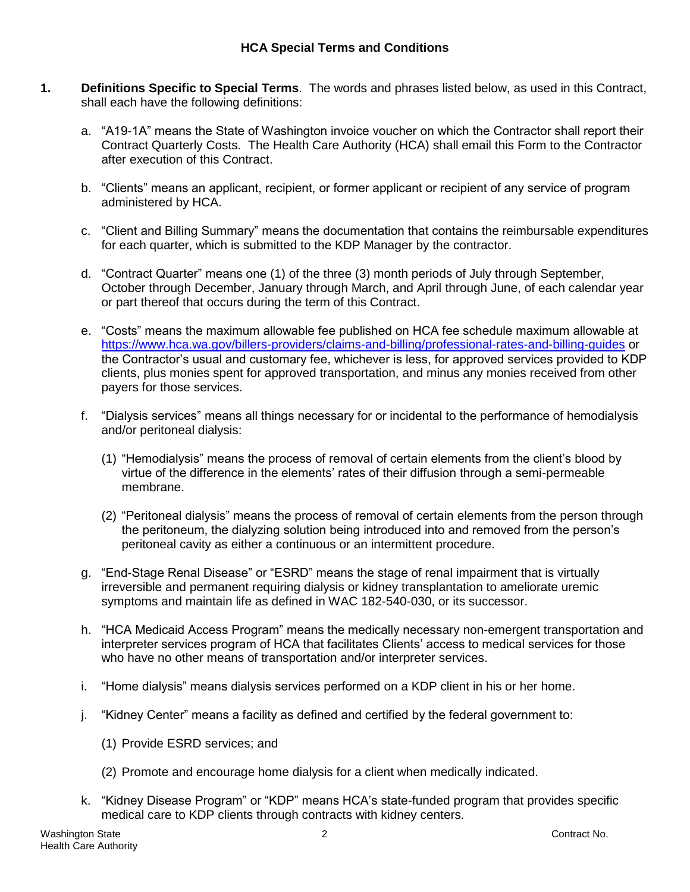# **HCA Special Terms and Conditions**

- **1. Definitions Specific to Special Terms**. The words and phrases listed below, as used in this Contract, shall each have the following definitions:
	- a. "A19-1A" means the State of Washington invoice voucher on which the Contractor shall report their Contract Quarterly Costs. The Health Care Authority (HCA) shall email this Form to the Contractor after execution of this Contract.
	- b. "Clients" means an applicant, recipient, or former applicant or recipient of any service of program administered by HCA.
	- c. "Client and Billing Summary" means the documentation that contains the reimbursable expenditures for each quarter, which is submitted to the KDP Manager by the contractor.
	- d. "Contract Quarter" means one (1) of the three (3) month periods of July through September, October through December, January through March, and April through June, of each calendar year or part thereof that occurs during the term of this Contract.
	- e. "Costs" means the maximum allowable fee published on HCA fee schedule maximum allowable at <https://www.hca.wa.gov/billers-providers/claims-and-billing/professional-rates-and-billing-guides> or the Contractor's usual and customary fee, whichever is less, for approved services provided to KDP clients, plus monies spent for approved transportation, and minus any monies received from other payers for those services.
	- f. "Dialysis services" means all things necessary for or incidental to the performance of hemodialysis and/or peritoneal dialysis:
		- (1) "Hemodialysis" means the process of removal of certain elements from the client's blood by virtue of the difference in the elements' rates of their diffusion through a semi-permeable membrane.
		- (2) "Peritoneal dialysis" means the process of removal of certain elements from the person through the peritoneum, the dialyzing solution being introduced into and removed from the person's peritoneal cavity as either a continuous or an intermittent procedure.
	- g. "End-Stage Renal Disease" or "ESRD" means the stage of renal impairment that is virtually irreversible and permanent requiring dialysis or kidney transplantation to ameliorate uremic symptoms and maintain life as defined in WAC 182-540-030, or its successor.
	- h. "HCA Medicaid Access Program" means the medically necessary non-emergent transportation and interpreter services program of HCA that facilitates Clients' access to medical services for those who have no other means of transportation and/or interpreter services.
	- i. "Home dialysis" means dialysis services performed on a KDP client in his or her home.
	- j. "Kidney Center" means a facility as defined and certified by the federal government to:
		- (1) Provide ESRD services; and
		- (2) Promote and encourage home dialysis for a client when medically indicated.
	- k. "Kidney Disease Program" or "KDP" means HCA's state-funded program that provides specific medical care to KDP clients through contracts with kidney centers.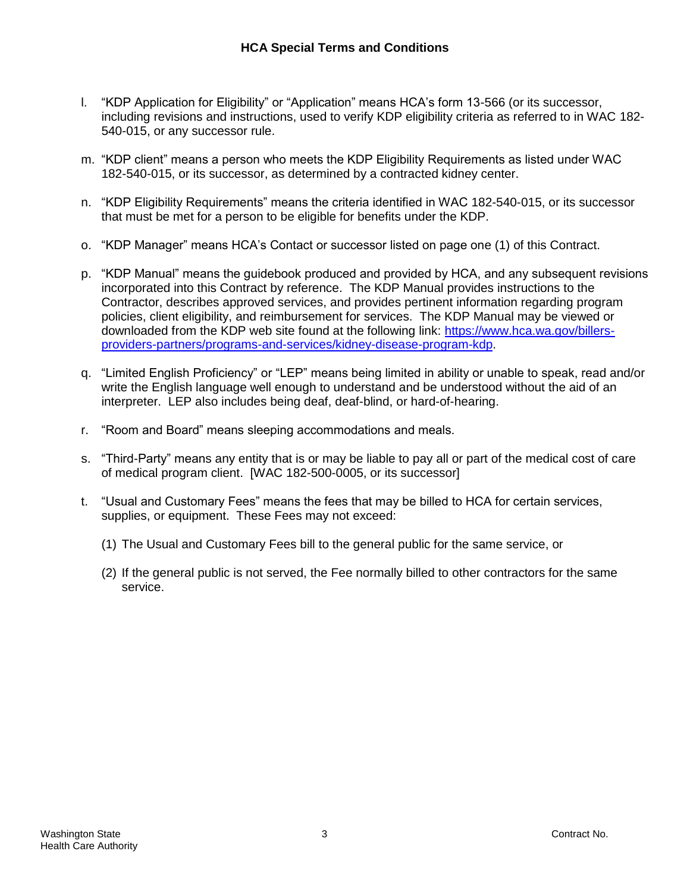- l. "KDP Application for Eligibility" or "Application" means HCA's form 13-566 (or its successor, including revisions and instructions, used to verify KDP eligibility criteria as referred to in WAC 182- 540-015, or any successor rule.
- m. "KDP client" means a person who meets the KDP Eligibility Requirements as listed under WAC 182-540-015, or its successor, as determined by a contracted kidney center.
- n. "KDP Eligibility Requirements" means the criteria identified in WAC 182-540-015, or its successor that must be met for a person to be eligible for benefits under the KDP.
- o. "KDP Manager" means HCA's Contact or successor listed on page one (1) of this Contract.
- p. "KDP Manual" means the guidebook produced and provided by HCA, and any subsequent revisions incorporated into this Contract by reference. The KDP Manual provides instructions to the Contractor, describes approved services, and provides pertinent information regarding program policies, client eligibility, and reimbursement for services. The KDP Manual may be viewed or downloaded from the KDP web site found at the following link: [https://www.hca.wa.gov/billers](https://www.hca.wa.gov/billers-providers-partners/programs-and-services/kidney-disease-program-kdp)[providers-partners/programs-and-services/kidney-disease-program-kdp.](https://www.hca.wa.gov/billers-providers-partners/programs-and-services/kidney-disease-program-kdp)
- q. "Limited English Proficiency" or "LEP" means being limited in ability or unable to speak, read and/or write the English language well enough to understand and be understood without the aid of an interpreter. LEP also includes being deaf, deaf-blind, or hard-of-hearing.
- r. "Room and Board" means sleeping accommodations and meals.
- s. "Third-Party" means any entity that is or may be liable to pay all or part of the medical cost of care of medical program client. [WAC 182-500-0005, or its successor]
- t. "Usual and Customary Fees" means the fees that may be billed to HCA for certain services, supplies, or equipment. These Fees may not exceed:
	- (1) The Usual and Customary Fees bill to the general public for the same service, or
	- (2) If the general public is not served, the Fee normally billed to other contractors for the same service.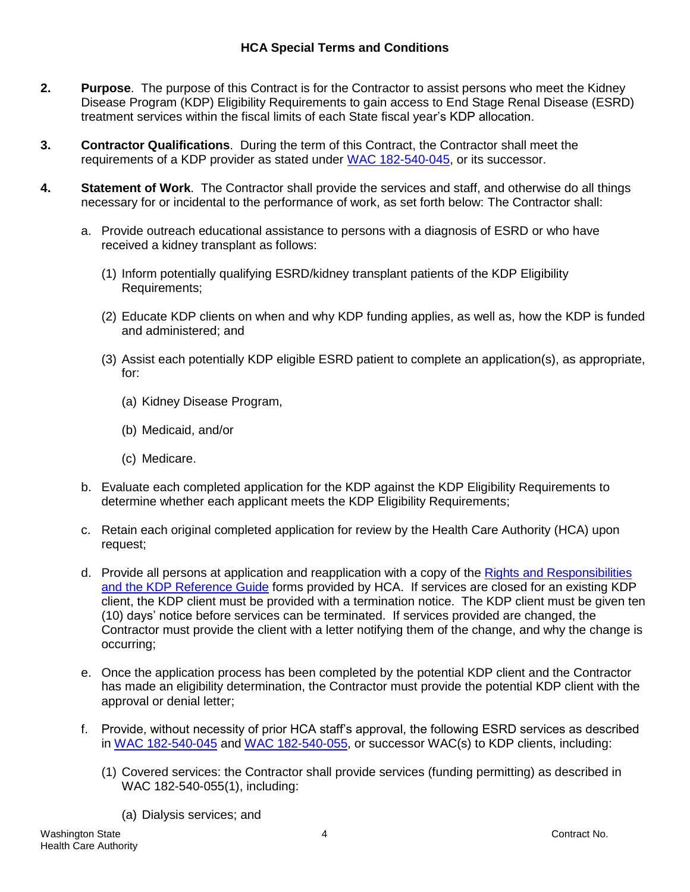# **HCA Special Terms and Conditions**

- **2. Purpose**. The purpose of this Contract is for the Contractor to assist persons who meet the Kidney Disease Program (KDP) Eligibility Requirements to gain access to End Stage Renal Disease (ESRD) treatment services within the fiscal limits of each State fiscal year's KDP allocation.
- **3. Contractor Qualifications**. During the term of this Contract, the Contractor shall meet the requirements of a KDP provider as stated under [WAC 182-540-045,](http://apps.leg.wa.gov/WAC/default.aspx?cite=182-540-045) or its successor.
- **4. Statement of Work**. The Contractor shall provide the services and staff, and otherwise do all things necessary for or incidental to the performance of work, as set forth below: The Contractor shall:
	- a. Provide outreach educational assistance to persons with a diagnosis of ESRD or who have received a kidney transplant as follows:
		- (1) Inform potentially qualifying ESRD/kidney transplant patients of the KDP Eligibility Requirements;
		- (2) Educate KDP clients on when and why KDP funding applies, as well as, how the KDP is funded and administered; and
		- (3) Assist each potentially KDP eligible ESRD patient to complete an application(s), as appropriate, for:
			- (a) Kidney Disease Program,
			- (b) Medicaid, and/or
			- (c) Medicare.
	- b. Evaluate each completed application for the KDP against the KDP Eligibility Requirements to determine whether each applicant meets the KDP Eligibility Requirements;
	- c. Retain each original completed application for review by the Health Care Authority (HCA) upon request;
	- d. Provide all persons at application and reapplication with a copy of the Rights and [Responsibilities](https://www.hca.wa.gov/billers-providers/programs-and-services/kidney-disease-program-kdp) [and the KDP Reference Guide](http://www.hca.wa.gov/medicaid/rbrvs/Documents/KDP_manual_010114.pdf) forms provided by HCA. If services are closed for an existing KDP client, the KDP client must be provided with a termination notice. The KDP client must be given ten (10) days' notice before services can be terminated. If services provided are changed, the Contractor must provide the client with a letter notifying them of the change, and why the change is occurring;
	- e. Once the application process has been completed by the potential KDP client and the Contractor has made an eligibility determination, the Contractor must provide the potential KDP client with the approval or denial letter;
	- f. Provide, without necessity of prior HCA staff's approval, the following ESRD services as described in [WAC 182-540-045](http://apps.leg.wa.gov/WAC/default.aspx?cite=182-540-045) and [WAC 182-540-055,](http://apps.leg.wa.gov/WAC/default.aspx?cite=182-540-055) or successor WAC(s) to KDP clients, including:
		- (1) Covered services: the Contractor shall provide services (funding permitting) as described in WAC 182-540-055(1), including:
			- (a) Dialysis services; and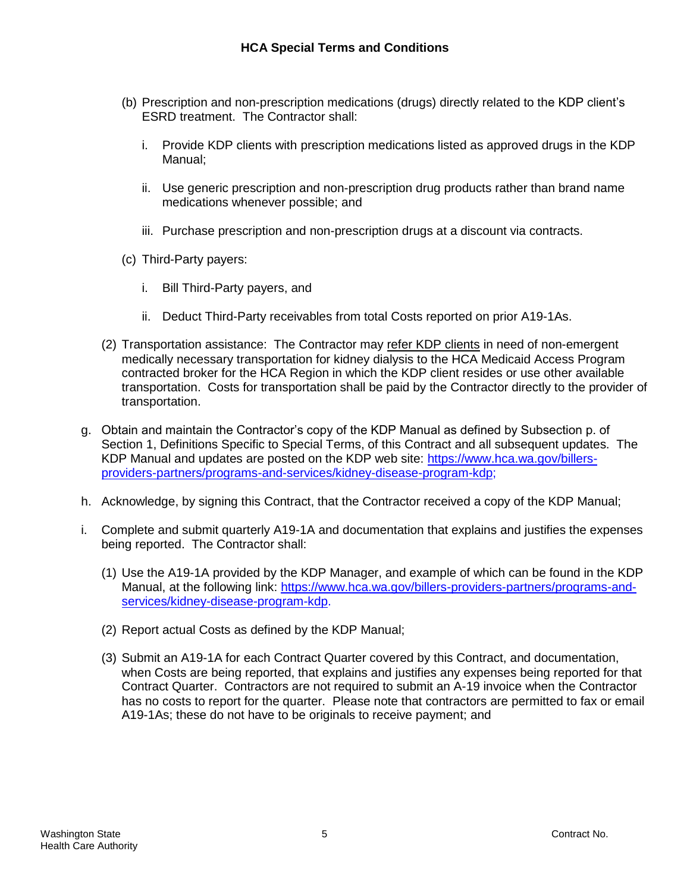- (b) Prescription and non-prescription medications (drugs) directly related to the KDP client's ESRD treatment. The Contractor shall:
	- i. Provide KDP clients with prescription medications listed as approved drugs in the KDP Manual;
	- ii. Use generic prescription and non-prescription drug products rather than brand name medications whenever possible; and
	- iii. Purchase prescription and non-prescription drugs at a discount via contracts.
- (c) Third-Party payers:
	- i. Bill Third-Party payers, and
	- ii. Deduct Third-Party receivables from total Costs reported on prior A19-1As.
- (2) Transportation assistance: The Contractor may refer KDP clients in need of non-emergent medically necessary transportation for kidney dialysis to the HCA Medicaid Access Program contracted broker for the HCA Region in which the KDP client resides or use other available transportation. Costs for transportation shall be paid by the Contractor directly to the provider of transportation.
- g. Obtain and maintain the Contractor's copy of the KDP Manual as defined by Subsection p. of Section 1, Definitions Specific to Special Terms, of this Contract and all subsequent updates. The KDP Manual and updates are posted on the KDP web site: [https://www.hca.wa.gov/billers](https://www.hca.wa.gov/billers-providers-partners/programs-and-services/kidney-disease-program-kdp)[providers-partners/programs-and-services/kidney-disease-program-kdp;](https://www.hca.wa.gov/billers-providers-partners/programs-and-services/kidney-disease-program-kdp)
- h. Acknowledge, by signing this Contract, that the Contractor received a copy of the KDP Manual;
- i. Complete and submit quarterly A19-1A and documentation that explains and justifies the expenses being reported. The Contractor shall:
	- (1) Use the A19-1A provided by the KDP Manager, and example of which can be found in the KDP Manual, at the following link: [https://www.hca.wa.gov/billers-providers-partners/programs-and](https://www.hca.wa.gov/billers-providers-partners/programs-and-services/kidney-disease-program-kdp)[services/kidney-disease-program-kdp.](https://www.hca.wa.gov/billers-providers-partners/programs-and-services/kidney-disease-program-kdp)
	- (2) Report actual Costs as defined by the KDP Manual;
	- (3) Submit an A19-1A for each Contract Quarter covered by this Contract, and documentation, when Costs are being reported, that explains and justifies any expenses being reported for that Contract Quarter. Contractors are not required to submit an A-19 invoice when the Contractor has no costs to report for the quarter. Please note that contractors are permitted to fax or email A19-1As; these do not have to be originals to receive payment; and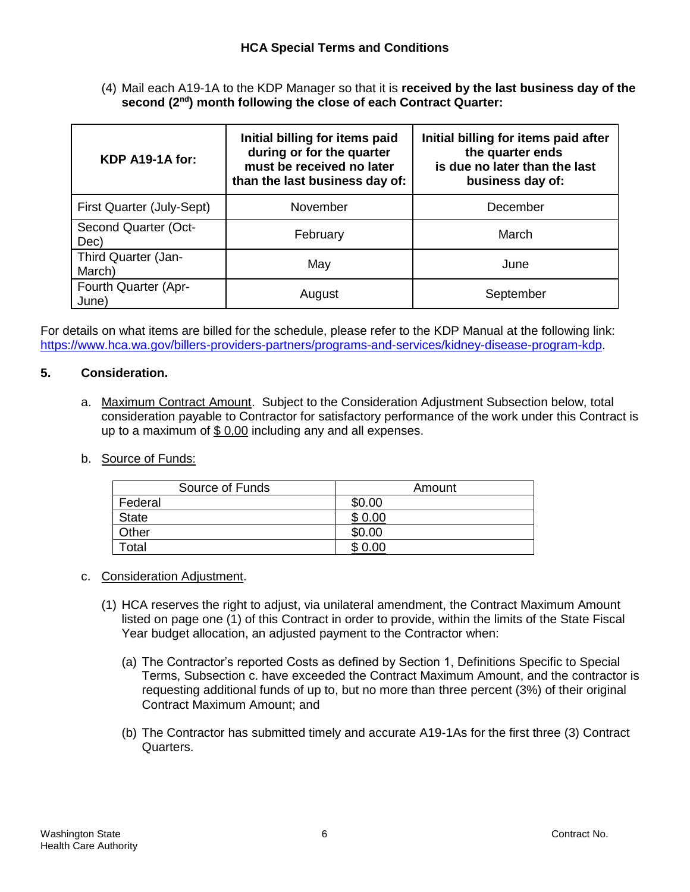(4) Mail each A19-1A to the KDP Manager so that it is **received by the last business day of the second (2nd) month following the close of each Contract Quarter:**

| KDP A19-1A for:               | Initial billing for items paid<br>during or for the quarter<br>must be received no later<br>than the last business day of: | Initial billing for items paid after<br>the quarter ends<br>is due no later than the last<br>business day of: |  |  |  |
|-------------------------------|----------------------------------------------------------------------------------------------------------------------------|---------------------------------------------------------------------------------------------------------------|--|--|--|
| First Quarter (July-Sept)     | November                                                                                                                   | December                                                                                                      |  |  |  |
| Second Quarter (Oct-<br>Dec)  | February                                                                                                                   | March                                                                                                         |  |  |  |
| Third Quarter (Jan-<br>March) | May                                                                                                                        | June                                                                                                          |  |  |  |
| Fourth Quarter (Apr-<br>June) | August                                                                                                                     | September                                                                                                     |  |  |  |

For details on what items are billed for the schedule, please refer to the KDP Manual at the following link: [https://www.hca.wa.gov/billers-providers-partners/programs-and-services/kidney-disease-program-kdp.](https://www.hca.wa.gov/billers-providers-partners/programs-and-services/kidney-disease-program-kdp)

## **5. Consideration.**

- a. Maximum Contract Amount. Subject to the Consideration Adjustment Subsection below, total consideration payable to Contractor for satisfactory performance of the work under this Contract is up to a maximum of \$ 0,00 including any and all expenses.
- b. Source of Funds:

| Source of Funds | Amount |
|-----------------|--------|
| Federal         | \$0.00 |
| <b>State</b>    | \$0.00 |
| Other           | \$0.00 |
| Total           | \$0.00 |

- c. Consideration Adjustment.
	- (1) HCA reserves the right to adjust, via unilateral amendment, the Contract Maximum Amount listed on page one (1) of this Contract in order to provide, within the limits of the State Fiscal Year budget allocation, an adjusted payment to the Contractor when:
		- (a) The Contractor's reported Costs as defined by Section 1, Definitions Specific to Special Terms, Subsection c. have exceeded the Contract Maximum Amount, and the contractor is requesting additional funds of up to, but no more than three percent (3%) of their original Contract Maximum Amount; and
		- (b) The Contractor has submitted timely and accurate A19-1As for the first three (3) Contract Quarters.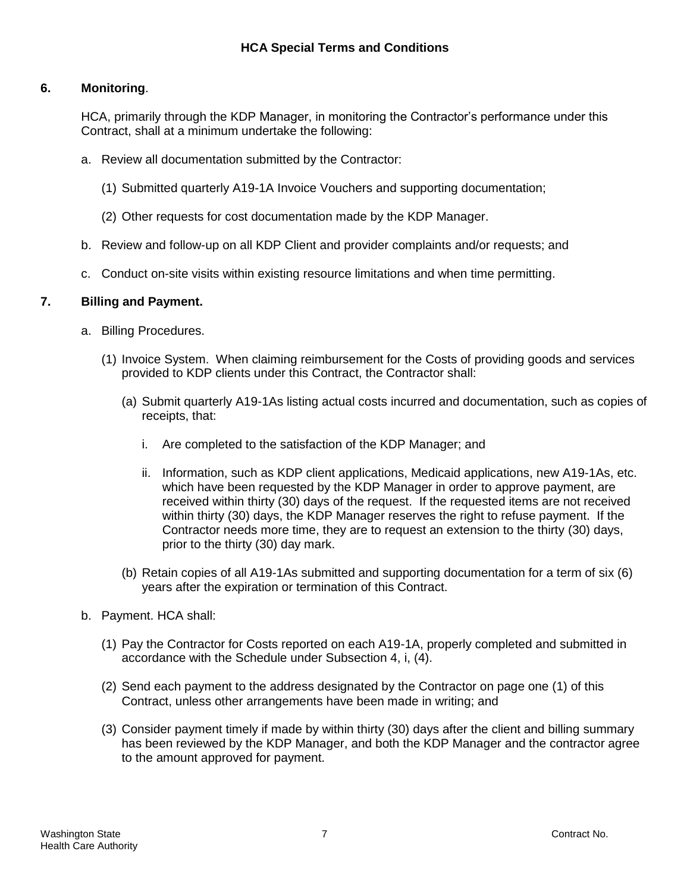# **6. Monitoring**.

HCA, primarily through the KDP Manager, in monitoring the Contractor's performance under this Contract, shall at a minimum undertake the following:

- a. Review all documentation submitted by the Contractor:
	- (1) Submitted quarterly A19-1A Invoice Vouchers and supporting documentation;
	- (2) Other requests for cost documentation made by the KDP Manager.
- b. Review and follow-up on all KDP Client and provider complaints and/or requests; and
- c. Conduct on-site visits within existing resource limitations and when time permitting.

### **7. Billing and Payment.**

- a. Billing Procedures.
	- (1) Invoice System. When claiming reimbursement for the Costs of providing goods and services provided to KDP clients under this Contract, the Contractor shall:
		- (a) Submit quarterly A19-1As listing actual costs incurred and documentation, such as copies of receipts, that:
			- i. Are completed to the satisfaction of the KDP Manager; and
			- ii. Information, such as KDP client applications, Medicaid applications, new A19-1As, etc. which have been requested by the KDP Manager in order to approve payment, are received within thirty (30) days of the request. If the requested items are not received within thirty (30) days, the KDP Manager reserves the right to refuse payment. If the Contractor needs more time, they are to request an extension to the thirty (30) days, prior to the thirty (30) day mark.
		- (b) Retain copies of all A19-1As submitted and supporting documentation for a term of six (6) years after the expiration or termination of this Contract.
- b. Payment. HCA shall:
	- (1) Pay the Contractor for Costs reported on each A19-1A, properly completed and submitted in accordance with the Schedule under Subsection 4, i, (4).
	- (2) Send each payment to the address designated by the Contractor on page one (1) of this Contract, unless other arrangements have been made in writing; and
	- (3) Consider payment timely if made by within thirty (30) days after the client and billing summary has been reviewed by the KDP Manager, and both the KDP Manager and the contractor agree to the amount approved for payment.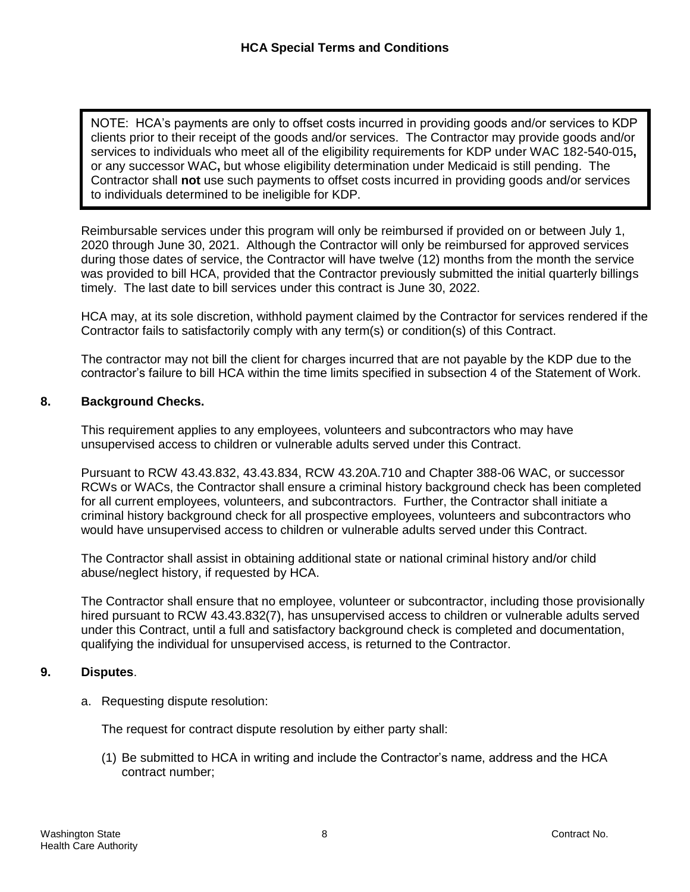Per any successor will be whose enginity actormination ander medicate is suit performing. The 2013 Contractor shall **not** use such payments to offset costs incurred in providing goods and/or services to individuals determined to be ineligible for KDP. NOTE: HCA's payments are only to offset costs incurred in providing goods and/or services to KDP clients prior to their receipt of the goods and/or services. The Contractor may provide goods and/or services to individuals who meet all of the eligibility requirements for KDP under WAC 182-540-015**,**  or any successor WAC**,** but whose eligibility determination under Medicaid is still pending. The

Reimbursable services under this program will only be reimbursed if provided on or between July 1, 2020 through June 30, 2021. Although the Contractor will only be reimbursed for approved services during those dates of service, the Contractor will have twelve (12) months from the month the service was provided to bill HCA, provided that the Contractor previously submitted the initial quarterly billings timely. The last date to bill services under this contract is June 30, 2022.

HCA may, at its sole discretion, withhold payment claimed by the Contractor for services rendered if the Contractor fails to satisfactorily comply with any term(s) or condition(s) of this Contract.

The contractor may not bill the client for charges incurred that are not payable by the KDP due to the contractor's failure to bill HCA within the time limits specified in subsection 4 of the Statement of Work.

## **8. Background Checks.**

This requirement applies to any employees, volunteers and subcontractors who may have unsupervised access to children or vulnerable adults served under this Contract.

Pursuant to RCW 43.43.832, 43.43.834, RCW 43.20A.710 and Chapter 388-06 WAC, or successor RCWs or WACs, the Contractor shall ensure a criminal history background check has been completed for all current employees, volunteers, and subcontractors. Further, the Contractor shall initiate a criminal history background check for all prospective employees, volunteers and subcontractors who would have unsupervised access to children or vulnerable adults served under this Contract.

The Contractor shall assist in obtaining additional state or national criminal history and/or child abuse/neglect history, if requested by HCA.

The Contractor shall ensure that no employee, volunteer or subcontractor, including those provisionally hired pursuant to RCW 43.43.832(7), has unsupervised access to children or vulnerable adults served under this Contract, until a full and satisfactory background check is completed and documentation, qualifying the individual for unsupervised access, is returned to the Contractor.

### **9. Disputes**.

a. Requesting dispute resolution:

The request for contract dispute resolution by either party shall:

(1) Be submitted to HCA in writing and include the Contractor's name, address and the HCA contract number;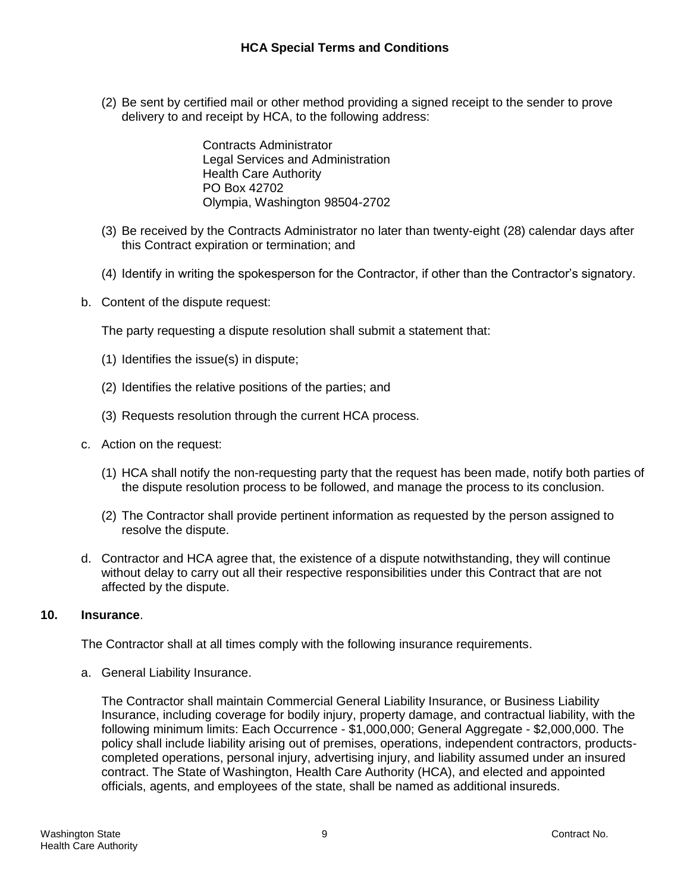(2) Be sent by certified mail or other method providing a signed receipt to the sender to prove delivery to and receipt by HCA, to the following address:

> Contracts Administrator Legal Services and Administration Health Care Authority PO Box 42702 Olympia, Washington 98504-2702

- (3) Be received by the Contracts Administrator no later than twenty-eight (28) calendar days after this Contract expiration or termination; and
- (4) Identify in writing the spokesperson for the Contractor, if other than the Contractor's signatory.
- b. Content of the dispute request:

The party requesting a dispute resolution shall submit a statement that:

- (1) Identifies the issue(s) in dispute;
- (2) Identifies the relative positions of the parties; and
- (3) Requests resolution through the current HCA process.
- c. Action on the request:
	- (1) HCA shall notify the non-requesting party that the request has been made, notify both parties of the dispute resolution process to be followed, and manage the process to its conclusion.
	- (2) The Contractor shall provide pertinent information as requested by the person assigned to resolve the dispute.
- d. Contractor and HCA agree that, the existence of a dispute notwithstanding, they will continue without delay to carry out all their respective responsibilities under this Contract that are not affected by the dispute.

### **10. Insurance**.

The Contractor shall at all times comply with the following insurance requirements.

a. General Liability Insurance.

The Contractor shall maintain Commercial General Liability Insurance, or Business Liability Insurance, including coverage for bodily injury, property damage, and contractual liability, with the following minimum limits: Each Occurrence - \$1,000,000; General Aggregate - \$2,000,000. The policy shall include liability arising out of premises, operations, independent contractors, productscompleted operations, personal injury, advertising injury, and liability assumed under an insured contract. The State of Washington, Health Care Authority (HCA), and elected and appointed officials, agents, and employees of the state, shall be named as additional insureds.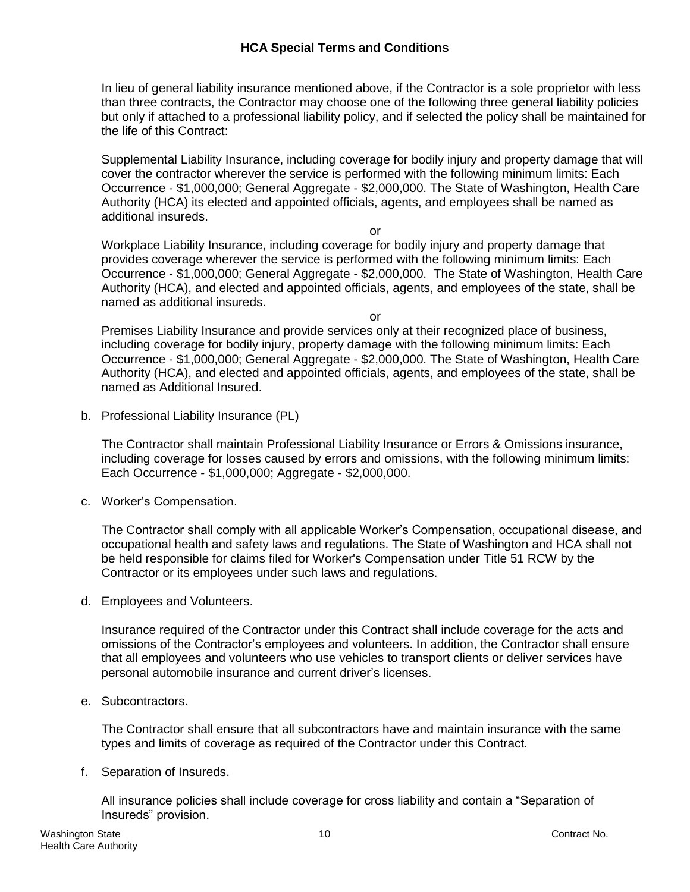## **HCA Special Terms and Conditions**

In lieu of general liability insurance mentioned above, if the Contractor is a sole proprietor with less than three contracts, the Contractor may choose one of the following three general liability policies but only if attached to a professional liability policy, and if selected the policy shall be maintained for the life of this Contract:

Supplemental Liability Insurance, including coverage for bodily injury and property damage that will cover the contractor wherever the service is performed with the following minimum limits: Each Occurrence - \$1,000,000; General Aggregate - \$2,000,000. The State of Washington, Health Care Authority (HCA) its elected and appointed officials, agents, and employees shall be named as additional insureds.

or

Workplace Liability Insurance, including coverage for bodily injury and property damage that provides coverage wherever the service is performed with the following minimum limits: Each Occurrence - \$1,000,000; General Aggregate - \$2,000,000. The State of Washington, Health Care Authority (HCA), and elected and appointed officials, agents, and employees of the state, shall be named as additional insureds.

or

Premises Liability Insurance and provide services only at their recognized place of business, including coverage for bodily injury, property damage with the following minimum limits: Each Occurrence - \$1,000,000; General Aggregate - \$2,000,000. The State of Washington, Health Care Authority (HCA), and elected and appointed officials, agents, and employees of the state, shall be named as Additional Insured.

b. Professional Liability Insurance (PL)

The Contractor shall maintain Professional Liability Insurance or Errors & Omissions insurance, including coverage for losses caused by errors and omissions, with the following minimum limits: Each Occurrence - \$1,000,000; Aggregate - \$2,000,000.

c. Worker's Compensation.

The Contractor shall comply with all applicable Worker's Compensation, occupational disease, and occupational health and safety laws and regulations. The State of Washington and HCA shall not be held responsible for claims filed for Worker's Compensation under Title 51 RCW by the Contractor or its employees under such laws and regulations.

d. Employees and Volunteers.

Insurance required of the Contractor under this Contract shall include coverage for the acts and omissions of the Contractor's employees and volunteers. In addition, the Contractor shall ensure that all employees and volunteers who use vehicles to transport clients or deliver services have personal automobile insurance and current driver's licenses.

e. Subcontractors.

The Contractor shall ensure that all subcontractors have and maintain insurance with the same types and limits of coverage as required of the Contractor under this Contract.

f. Separation of Insureds.

All insurance policies shall include coverage for cross liability and contain a "Separation of Insureds" provision.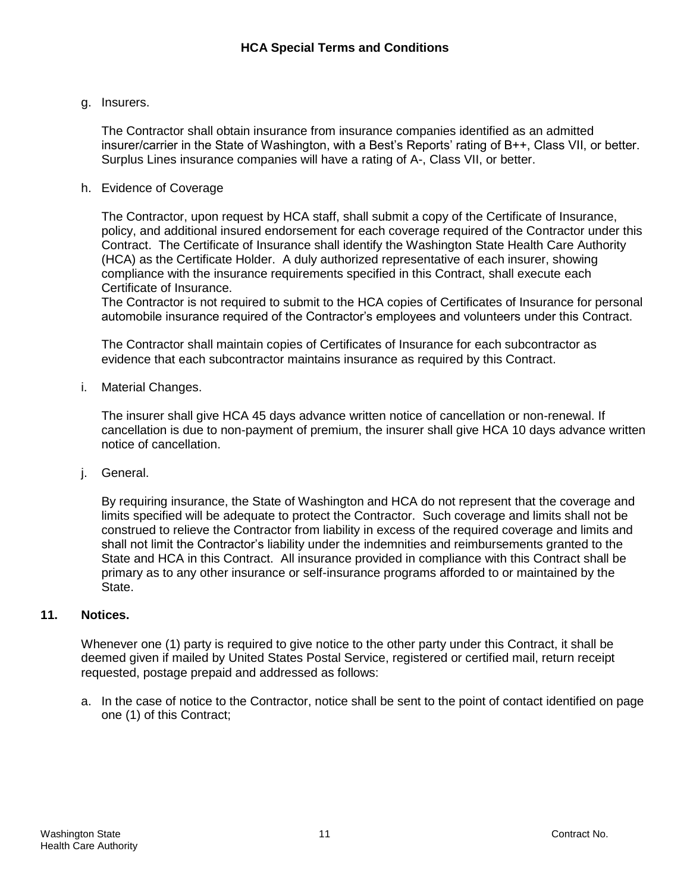### g. Insurers.

The Contractor shall obtain insurance from insurance companies identified as an admitted insurer/carrier in the State of Washington, with a Best's Reports' rating of B++, Class VII, or better. Surplus Lines insurance companies will have a rating of A-, Class VII, or better.

#### h. Evidence of Coverage

The Contractor, upon request by HCA staff, shall submit a copy of the Certificate of Insurance, policy, and additional insured endorsement for each coverage required of the Contractor under this Contract. The Certificate of Insurance shall identify the Washington State Health Care Authority (HCA) as the Certificate Holder. A duly authorized representative of each insurer, showing compliance with the insurance requirements specified in this Contract, shall execute each Certificate of Insurance.

The Contractor is not required to submit to the HCA copies of Certificates of Insurance for personal automobile insurance required of the Contractor's employees and volunteers under this Contract.

The Contractor shall maintain copies of Certificates of Insurance for each subcontractor as evidence that each subcontractor maintains insurance as required by this Contract.

i. Material Changes.

The insurer shall give HCA 45 days advance written notice of cancellation or non-renewal. If cancellation is due to non-payment of premium, the insurer shall give HCA 10 days advance written notice of cancellation.

j. General.

By requiring insurance, the State of Washington and HCA do not represent that the coverage and limits specified will be adequate to protect the Contractor. Such coverage and limits shall not be construed to relieve the Contractor from liability in excess of the required coverage and limits and shall not limit the Contractor's liability under the indemnities and reimbursements granted to the State and HCA in this Contract. All insurance provided in compliance with this Contract shall be primary as to any other insurance or self-insurance programs afforded to or maintained by the State.

## **11. Notices.**

Whenever one (1) party is required to give notice to the other party under this Contract, it shall be deemed given if mailed by United States Postal Service, registered or certified mail, return receipt requested, postage prepaid and addressed as follows:

a. In the case of notice to the Contractor, notice shall be sent to the point of contact identified on page one (1) of this Contract;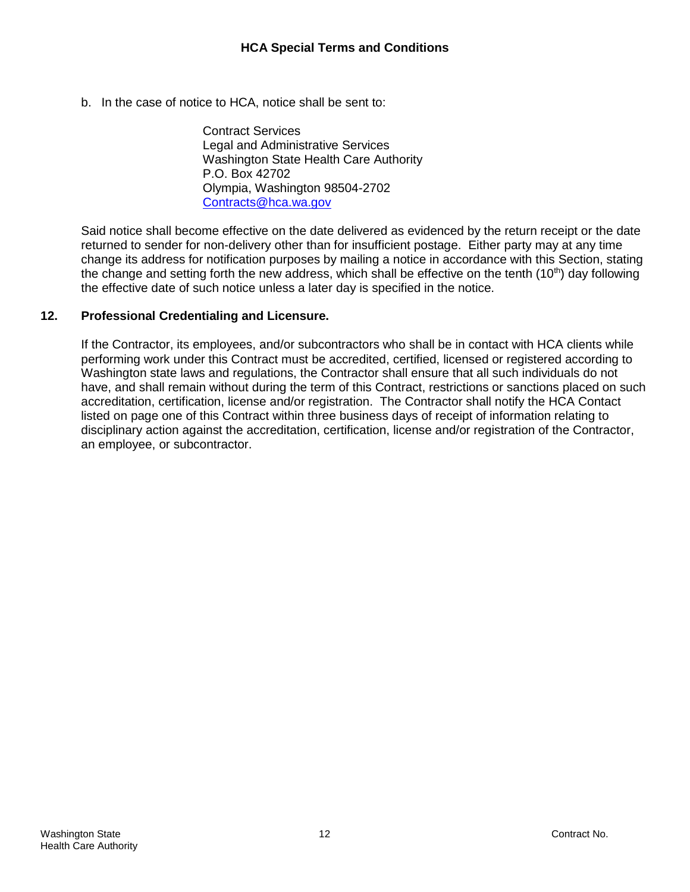b. In the case of notice to HCA, notice shall be sent to:

Contract Services Legal and Administrative Services Washington State Health Care Authority P.O. Box 42702 Olympia, Washington 98504-2702 [Contracts@hca.wa.gov](mailto:Contracts@hca.wa.gov)

Said notice shall become effective on the date delivered as evidenced by the return receipt or the date returned to sender for non-delivery other than for insufficient postage. Either party may at any time change its address for notification purposes by mailing a notice in accordance with this Section, stating the change and setting forth the new address, which shall be effective on the tenth  $(10<sup>th</sup>)$  day following the effective date of such notice unless a later day is specified in the notice.

### **12. Professional Credentialing and Licensure.**

If the Contractor, its employees, and/or subcontractors who shall be in contact with HCA clients while performing work under this Contract must be accredited, certified, licensed or registered according to Washington state laws and regulations, the Contractor shall ensure that all such individuals do not have, and shall remain without during the term of this Contract, restrictions or sanctions placed on such accreditation, certification, license and/or registration. The Contractor shall notify the HCA Contact listed on page one of this Contract within three business days of receipt of information relating to disciplinary action against the accreditation, certification, license and/or registration of the Contractor, an employee, or subcontractor.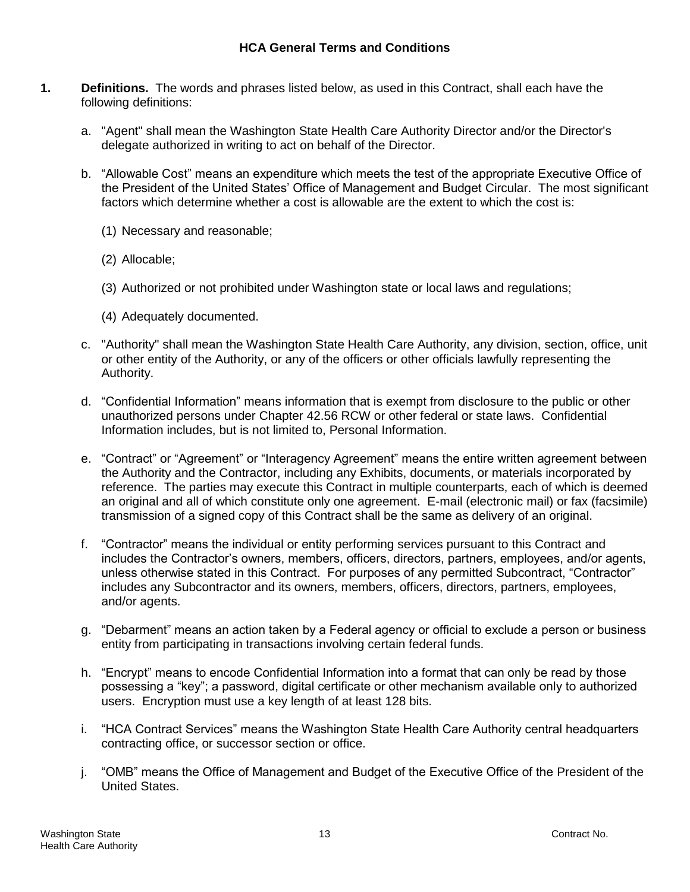- **1. Definitions.** The words and phrases listed below, as used in this Contract, shall each have the following definitions:
	- a. "Agent" shall mean the Washington State Health Care Authority Director and/or the Director's delegate authorized in writing to act on behalf of the Director.
	- b. "Allowable Cost" means an expenditure which meets the test of the appropriate Executive Office of the President of the United States' Office of Management and Budget Circular. The most significant factors which determine whether a cost is allowable are the extent to which the cost is:
		- (1) Necessary and reasonable;
		- (2) Allocable;
		- (3) Authorized or not prohibited under Washington state or local laws and regulations;
		- (4) Adequately documented.
	- c. "Authority" shall mean the Washington State Health Care Authority, any division, section, office, unit or other entity of the Authority, or any of the officers or other officials lawfully representing the Authority.
	- d. "Confidential Information" means information that is exempt from disclosure to the public or other unauthorized persons under Chapter 42.56 RCW or other federal or state laws. Confidential Information includes, but is not limited to, Personal Information.
	- e. "Contract" or "Agreement" or "Interagency Agreement" means the entire written agreement between the Authority and the Contractor, including any Exhibits, documents, or materials incorporated by reference. The parties may execute this Contract in multiple counterparts, each of which is deemed an original and all of which constitute only one agreement. E-mail (electronic mail) or fax (facsimile) transmission of a signed copy of this Contract shall be the same as delivery of an original.
	- f. "Contractor" means the individual or entity performing services pursuant to this Contract and includes the Contractor's owners, members, officers, directors, partners, employees, and/or agents, unless otherwise stated in this Contract. For purposes of any permitted Subcontract, "Contractor" includes any Subcontractor and its owners, members, officers, directors, partners, employees, and/or agents.
	- g. "Debarment" means an action taken by a Federal agency or official to exclude a person or business entity from participating in transactions involving certain federal funds.
	- h. "Encrypt" means to encode Confidential Information into a format that can only be read by those possessing a "key"; a password, digital certificate or other mechanism available only to authorized users. Encryption must use a key length of at least 128 bits.
	- i. "HCA Contract Services" means the Washington State Health Care Authority central headquarters contracting office, or successor section or office.
	- j. "OMB" means the Office of Management and Budget of the Executive Office of the President of the United States.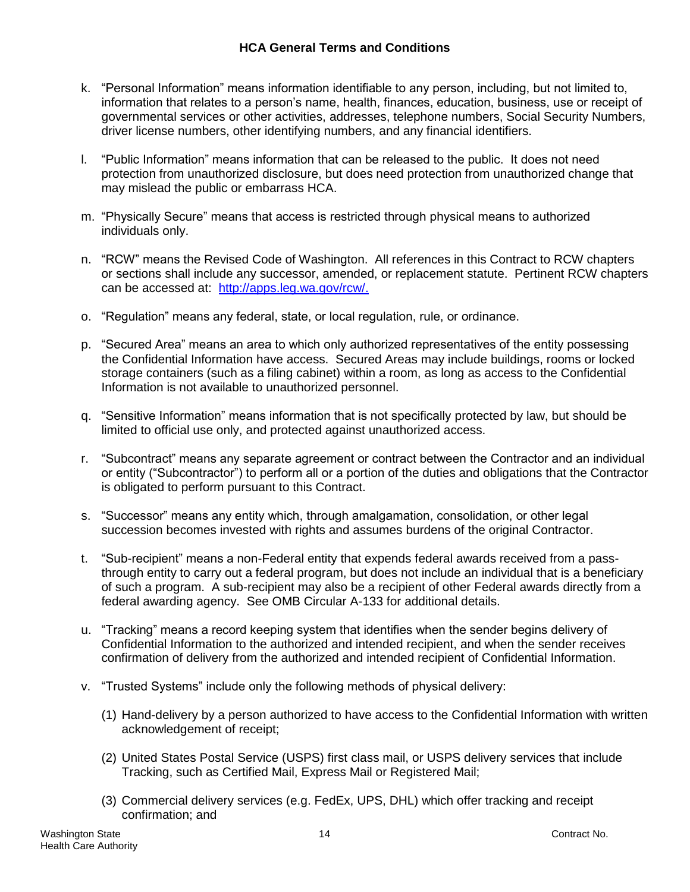- k. "Personal Information" means information identifiable to any person, including, but not limited to, information that relates to a person's name, health, finances, education, business, use or receipt of governmental services or other activities, addresses, telephone numbers, Social Security Numbers, driver license numbers, other identifying numbers, and any financial identifiers.
- l. "Public Information" means information that can be released to the public. It does not need protection from unauthorized disclosure, but does need protection from unauthorized change that may mislead the public or embarrass HCA.
- m. "Physically Secure" means that access is restricted through physical means to authorized individuals only.
- n. "RCW" means the Revised Code of Washington. All references in this Contract to RCW chapters or sections shall include any successor, amended, or replacement statute. Pertinent RCW chapters can be accessed at: [http://apps.leg.wa.gov/rcw/.](http://apps.leg.wa.gov/rcw/)
- o. "Regulation" means any federal, state, or local regulation, rule, or ordinance.
- p. "Secured Area" means an area to which only authorized representatives of the entity possessing the Confidential Information have access. Secured Areas may include buildings, rooms or locked storage containers (such as a filing cabinet) within a room, as long as access to the Confidential Information is not available to unauthorized personnel.
- q. "Sensitive Information" means information that is not specifically protected by law, but should be limited to official use only, and protected against unauthorized access.
- r. "Subcontract" means any separate agreement or contract between the Contractor and an individual or entity ("Subcontractor") to perform all or a portion of the duties and obligations that the Contractor is obligated to perform pursuant to this Contract.
- s. "Successor" means any entity which, through amalgamation, consolidation, or other legal succession becomes invested with rights and assumes burdens of the original Contractor.
- t. "Sub-recipient" means a non-Federal entity that expends federal awards received from a passthrough entity to carry out a federal program, but does not include an individual that is a beneficiary of such a program. A sub-recipient may also be a recipient of other Federal awards directly from a federal awarding agency. See OMB Circular A-133 for additional details.
- u. "Tracking" means a record keeping system that identifies when the sender begins delivery of Confidential Information to the authorized and intended recipient, and when the sender receives confirmation of delivery from the authorized and intended recipient of Confidential Information.
- v. "Trusted Systems" include only the following methods of physical delivery:
	- (1) Hand-delivery by a person authorized to have access to the Confidential Information with written acknowledgement of receipt;
	- (2) United States Postal Service (USPS) first class mail, or USPS delivery services that include Tracking, such as Certified Mail, Express Mail or Registered Mail;
	- (3) Commercial delivery services (e.g. FedEx, UPS, DHL) which offer tracking and receipt confirmation; and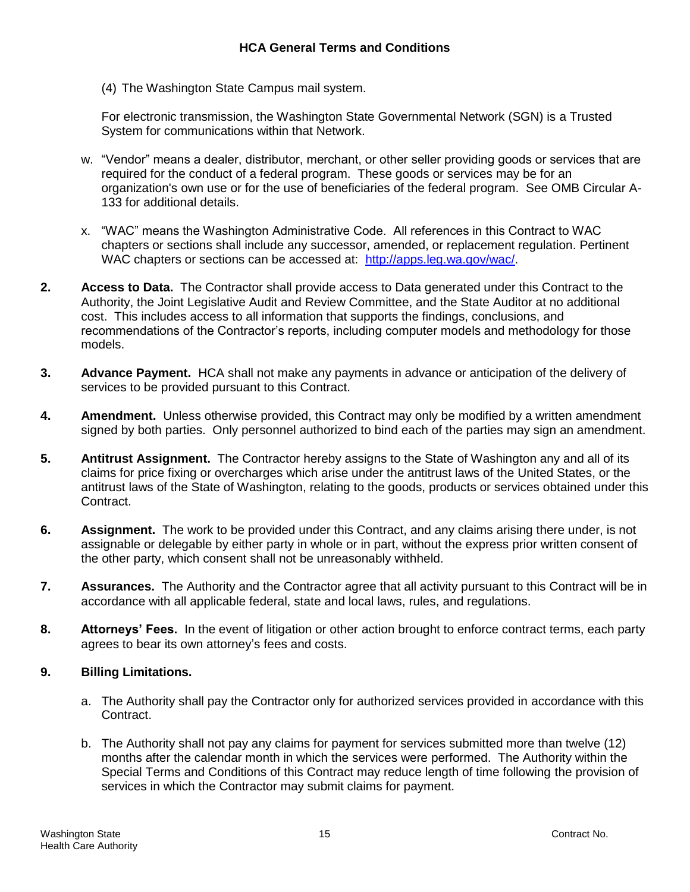(4) The Washington State Campus mail system.

For electronic transmission, the Washington State Governmental Network (SGN) is a Trusted System for communications within that Network.

- w. "Vendor" means a dealer, distributor, merchant, or other seller providing goods or services that are required for the conduct of a federal program. These goods or services may be for an organization's own use or for the use of beneficiaries of the federal program. See OMB Circular A-133 for additional details.
- x. "WAC" means the Washington Administrative Code. All references in this Contract to WAC chapters or sections shall include any successor, amended, or replacement regulation. Pertinent WAC chapters or sections can be accessed at: [http://apps.leg.wa.gov/wac/.](http://apps.leg.wa.gov/wac/)
- **2. Access to Data.** The Contractor shall provide access to Data generated under this Contract to the Authority, the Joint Legislative Audit and Review Committee, and the State Auditor at no additional cost. This includes access to all information that supports the findings, conclusions, and recommendations of the Contractor's reports, including computer models and methodology for those models.
- **3. Advance Payment.** HCA shall not make any payments in advance or anticipation of the delivery of services to be provided pursuant to this Contract.
- **4. Amendment.** Unless otherwise provided, this Contract may only be modified by a written amendment signed by both parties. Only personnel authorized to bind each of the parties may sign an amendment.
- **5. Antitrust Assignment.** The Contractor hereby assigns to the State of Washington any and all of its claims for price fixing or overcharges which arise under the antitrust laws of the United States, or the antitrust laws of the State of Washington, relating to the goods, products or services obtained under this Contract.
- **6. Assignment.** The work to be provided under this Contract, and any claims arising there under, is not assignable or delegable by either party in whole or in part, without the express prior written consent of the other party, which consent shall not be unreasonably withheld.
- **7. Assurances.** The Authority and the Contractor agree that all activity pursuant to this Contract will be in accordance with all applicable federal, state and local laws, rules, and regulations.
- **8. Attorneys' Fees.** In the event of litigation or other action brought to enforce contract terms, each party agrees to bear its own attorney's fees and costs.

### **9. Billing Limitations.**

- a. The Authority shall pay the Contractor only for authorized services provided in accordance with this Contract.
- b. The Authority shall not pay any claims for payment for services submitted more than twelve (12) months after the calendar month in which the services were performed. The Authority within the Special Terms and Conditions of this Contract may reduce length of time following the provision of services in which the Contractor may submit claims for payment.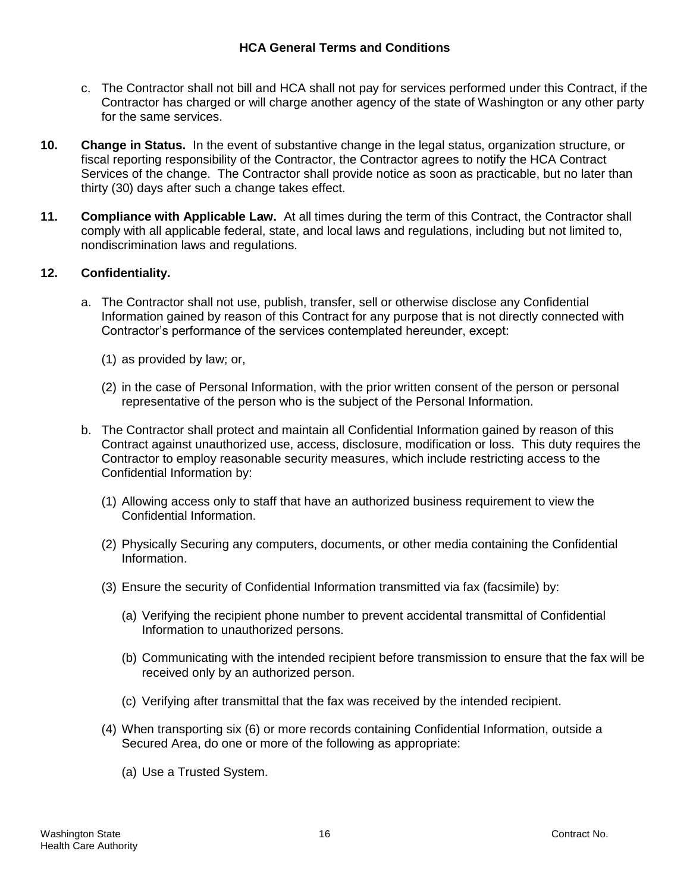- c. The Contractor shall not bill and HCA shall not pay for services performed under this Contract, if the Contractor has charged or will charge another agency of the state of Washington or any other party for the same services.
- **10. Change in Status.** In the event of substantive change in the legal status, organization structure, or fiscal reporting responsibility of the Contractor, the Contractor agrees to notify the HCA Contract Services of the change. The Contractor shall provide notice as soon as practicable, but no later than thirty (30) days after such a change takes effect.
- **11. Compliance with Applicable Law.** At all times during the term of this Contract, the Contractor shall comply with all applicable federal, state, and local laws and regulations, including but not limited to, nondiscrimination laws and regulations.

# **12. Confidentiality.**

- a. The Contractor shall not use, publish, transfer, sell or otherwise disclose any Confidential Information gained by reason of this Contract for any purpose that is not directly connected with Contractor's performance of the services contemplated hereunder, except:
	- (1) as provided by law; or,
	- (2) in the case of Personal Information, with the prior written consent of the person or personal representative of the person who is the subject of the Personal Information.
- b. The Contractor shall protect and maintain all Confidential Information gained by reason of this Contract against unauthorized use, access, disclosure, modification or loss. This duty requires the Contractor to employ reasonable security measures, which include restricting access to the Confidential Information by:
	- (1) Allowing access only to staff that have an authorized business requirement to view the Confidential Information.
	- (2) Physically Securing any computers, documents, or other media containing the Confidential Information.
	- (3) Ensure the security of Confidential Information transmitted via fax (facsimile) by:
		- (a) Verifying the recipient phone number to prevent accidental transmittal of Confidential Information to unauthorized persons.
		- (b) Communicating with the intended recipient before transmission to ensure that the fax will be received only by an authorized person.
		- (c) Verifying after transmittal that the fax was received by the intended recipient.
	- (4) When transporting six (6) or more records containing Confidential Information, outside a Secured Area, do one or more of the following as appropriate:
		- (a) Use a Trusted System.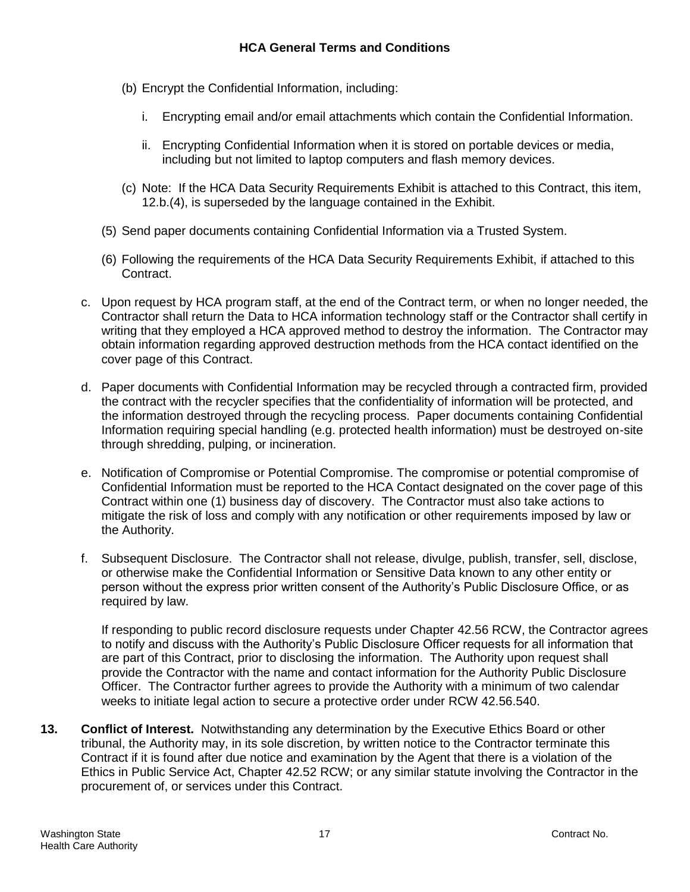- (b) Encrypt the Confidential Information, including:
	- i. Encrypting email and/or email attachments which contain the Confidential Information.
	- ii. Encrypting Confidential Information when it is stored on portable devices or media, including but not limited to laptop computers and flash memory devices.
- (c) Note: If the HCA Data Security Requirements Exhibit is attached to this Contract, this item, 12.b.(4), is superseded by the language contained in the Exhibit.
- (5) Send paper documents containing Confidential Information via a Trusted System.
- (6) Following the requirements of the HCA Data Security Requirements Exhibit, if attached to this Contract.
- c. Upon request by HCA program staff, at the end of the Contract term, or when no longer needed, the Contractor shall return the Data to HCA information technology staff or the Contractor shall certify in writing that they employed a HCA approved method to destroy the information. The Contractor may obtain information regarding approved destruction methods from the HCA contact identified on the cover page of this Contract.
- d. Paper documents with Confidential Information may be recycled through a contracted firm, provided the contract with the recycler specifies that the confidentiality of information will be protected, and the information destroyed through the recycling process. Paper documents containing Confidential Information requiring special handling (e.g. protected health information) must be destroyed on-site through shredding, pulping, or incineration.
- e. Notification of Compromise or Potential Compromise. The compromise or potential compromise of Confidential Information must be reported to the HCA Contact designated on the cover page of this Contract within one (1) business day of discovery. The Contractor must also take actions to mitigate the risk of loss and comply with any notification or other requirements imposed by law or the Authority.
- f. Subsequent Disclosure. The Contractor shall not release, divulge, publish, transfer, sell, disclose, or otherwise make the Confidential Information or Sensitive Data known to any other entity or person without the express prior written consent of the Authority's Public Disclosure Office, or as required by law.

If responding to public record disclosure requests under Chapter 42.56 RCW, the Contractor agrees to notify and discuss with the Authority's Public Disclosure Officer requests for all information that are part of this Contract, prior to disclosing the information. The Authority upon request shall provide the Contractor with the name and contact information for the Authority Public Disclosure Officer. The Contractor further agrees to provide the Authority with a minimum of two calendar weeks to initiate legal action to secure a protective order under RCW 42.56.540.

**13. Conflict of Interest.** Notwithstanding any determination by the Executive Ethics Board or other tribunal, the Authority may, in its sole discretion, by written notice to the Contractor terminate this Contract if it is found after due notice and examination by the Agent that there is a violation of the Ethics in Public Service Act, Chapter 42.52 RCW; or any similar statute involving the Contractor in the procurement of, or services under this Contract.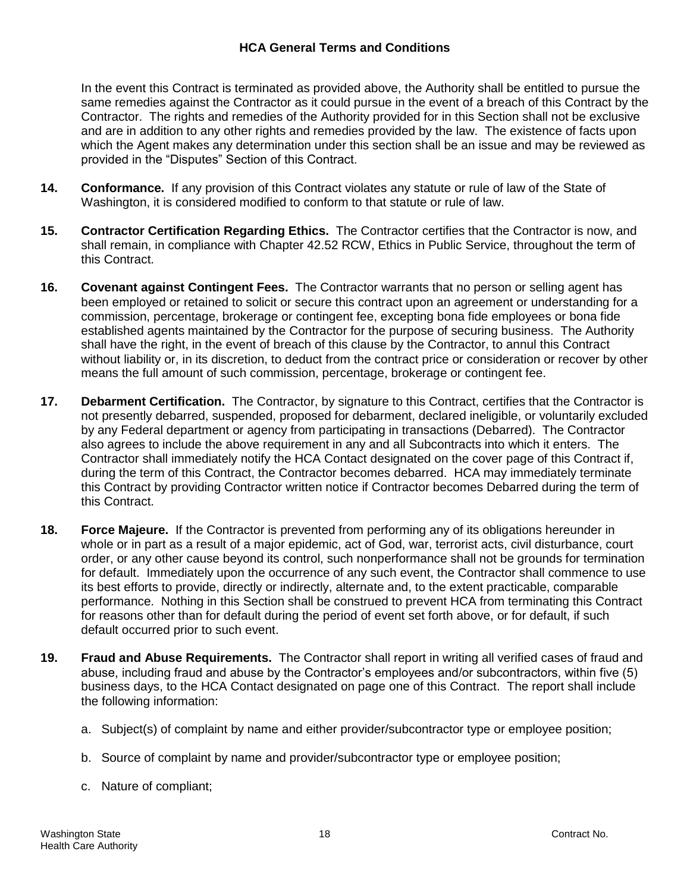In the event this Contract is terminated as provided above, the Authority shall be entitled to pursue the same remedies against the Contractor as it could pursue in the event of a breach of this Contract by the Contractor. The rights and remedies of the Authority provided for in this Section shall not be exclusive and are in addition to any other rights and remedies provided by the law. The existence of facts upon which the Agent makes any determination under this section shall be an issue and may be reviewed as provided in the "Disputes" Section of this Contract.

- **14. Conformance.** If any provision of this Contract violates any statute or rule of law of the State of Washington, it is considered modified to conform to that statute or rule of law.
- **15. Contractor Certification Regarding Ethics.** The Contractor certifies that the Contractor is now, and shall remain, in compliance with Chapter 42.52 RCW, Ethics in Public Service, throughout the term of this Contract.
- **16. Covenant against Contingent Fees.** The Contractor warrants that no person or selling agent has been employed or retained to solicit or secure this contract upon an agreement or understanding for a commission, percentage, brokerage or contingent fee, excepting bona fide employees or bona fide established agents maintained by the Contractor for the purpose of securing business. The Authority shall have the right, in the event of breach of this clause by the Contractor, to annul this Contract without liability or, in its discretion, to deduct from the contract price or consideration or recover by other means the full amount of such commission, percentage, brokerage or contingent fee.
- **17. Debarment Certification.** The Contractor, by signature to this Contract, certifies that the Contractor is not presently debarred, suspended, proposed for debarment, declared ineligible, or voluntarily excluded by any Federal department or agency from participating in transactions (Debarred). The Contractor also agrees to include the above requirement in any and all Subcontracts into which it enters. The Contractor shall immediately notify the HCA Contact designated on the cover page of this Contract if, during the term of this Contract, the Contractor becomes debarred. HCA may immediately terminate this Contract by providing Contractor written notice if Contractor becomes Debarred during the term of this Contract.
- **18. Force Majeure.** If the Contractor is prevented from performing any of its obligations hereunder in whole or in part as a result of a major epidemic, act of God, war, terrorist acts, civil disturbance, court order, or any other cause beyond its control, such nonperformance shall not be grounds for termination for default. Immediately upon the occurrence of any such event, the Contractor shall commence to use its best efforts to provide, directly or indirectly, alternate and, to the extent practicable, comparable performance. Nothing in this Section shall be construed to prevent HCA from terminating this Contract for reasons other than for default during the period of event set forth above, or for default, if such default occurred prior to such event.
- **19. Fraud and Abuse Requirements.** The Contractor shall report in writing all verified cases of fraud and abuse, including fraud and abuse by the Contractor's employees and/or subcontractors, within five (5) business days, to the HCA Contact designated on page one of this Contract. The report shall include the following information:
	- a. Subject(s) of complaint by name and either provider/subcontractor type or employee position;
	- b. Source of complaint by name and provider/subcontractor type or employee position;
	- c. Nature of compliant;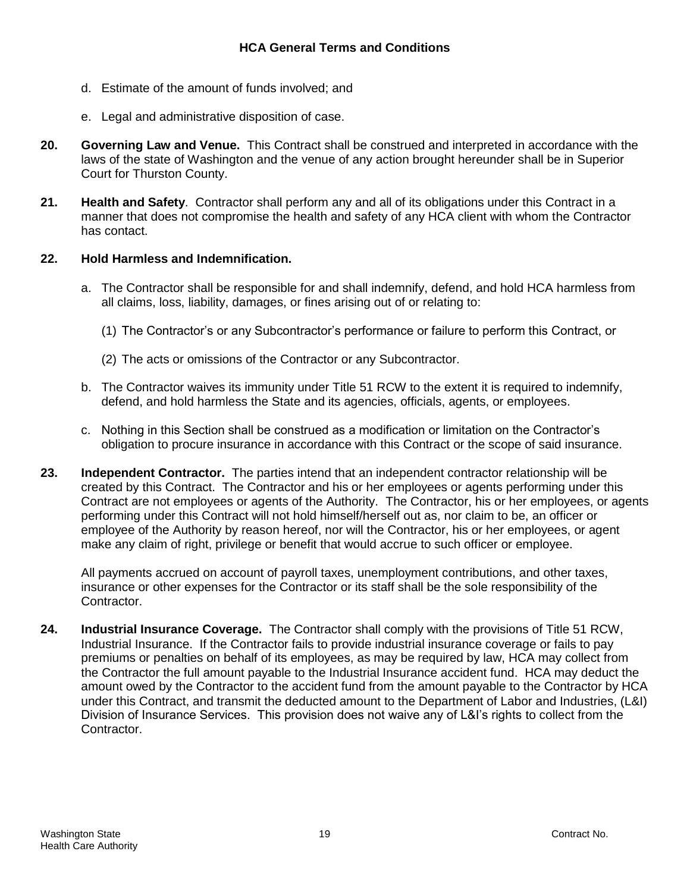- d. Estimate of the amount of funds involved; and
- e. Legal and administrative disposition of case.
- **20. Governing Law and Venue.** This Contract shall be construed and interpreted in accordance with the laws of the state of Washington and the venue of any action brought hereunder shall be in Superior Court for Thurston County.
- **21. Health and Safety**. Contractor shall perform any and all of its obligations under this Contract in a manner that does not compromise the health and safety of any HCA client with whom the Contractor has contact.

### **22. Hold Harmless and Indemnification.**

- a. The Contractor shall be responsible for and shall indemnify, defend, and hold HCA harmless from all claims, loss, liability, damages, or fines arising out of or relating to:
	- (1) The Contractor's or any Subcontractor's performance or failure to perform this Contract, or
	- (2) The acts or omissions of the Contractor or any Subcontractor.
- b. The Contractor waives its immunity under Title 51 RCW to the extent it is required to indemnify, defend, and hold harmless the State and its agencies, officials, agents, or employees.
- c. Nothing in this Section shall be construed as a modification or limitation on the Contractor's obligation to procure insurance in accordance with this Contract or the scope of said insurance.
- **23. Independent Contractor.** The parties intend that an independent contractor relationship will be created by this Contract. The Contractor and his or her employees or agents performing under this Contract are not employees or agents of the Authority. The Contractor, his or her employees, or agents performing under this Contract will not hold himself/herself out as, nor claim to be, an officer or employee of the Authority by reason hereof, nor will the Contractor, his or her employees, or agent make any claim of right, privilege or benefit that would accrue to such officer or employee.

All payments accrued on account of payroll taxes, unemployment contributions, and other taxes, insurance or other expenses for the Contractor or its staff shall be the sole responsibility of the Contractor.

**24. Industrial Insurance Coverage.** The Contractor shall comply with the provisions of Title 51 RCW, Industrial Insurance. If the Contractor fails to provide industrial insurance coverage or fails to pay premiums or penalties on behalf of its employees, as may be required by law, HCA may collect from the Contractor the full amount payable to the Industrial Insurance accident fund. HCA may deduct the amount owed by the Contractor to the accident fund from the amount payable to the Contractor by HCA under this Contract, and transmit the deducted amount to the Department of Labor and Industries, (L&I) Division of Insurance Services. This provision does not waive any of L&I's rights to collect from the Contractor.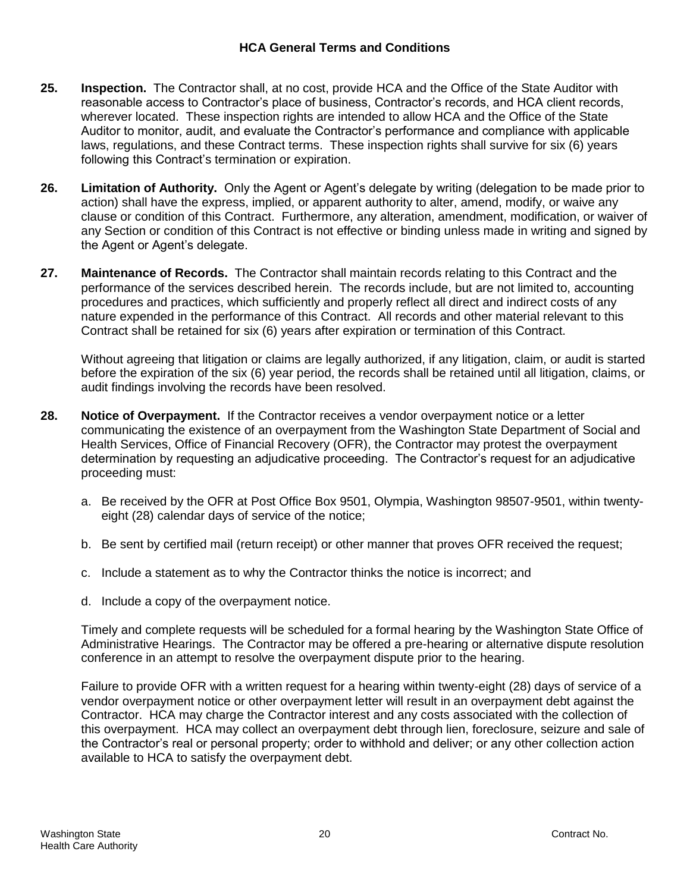- **25. Inspection.** The Contractor shall, at no cost, provide HCA and the Office of the State Auditor with reasonable access to Contractor's place of business, Contractor's records, and HCA client records, wherever located. These inspection rights are intended to allow HCA and the Office of the State Auditor to monitor, audit, and evaluate the Contractor's performance and compliance with applicable laws, regulations, and these Contract terms. These inspection rights shall survive for six (6) years following this Contract's termination or expiration.
- **26. Limitation of Authority.** Only the Agent or Agent's delegate by writing (delegation to be made prior to action) shall have the express, implied, or apparent authority to alter, amend, modify, or waive any clause or condition of this Contract. Furthermore, any alteration, amendment, modification, or waiver of any Section or condition of this Contract is not effective or binding unless made in writing and signed by the Agent or Agent's delegate.
- **27. Maintenance of Records.** The Contractor shall maintain records relating to this Contract and the performance of the services described herein. The records include, but are not limited to, accounting procedures and practices, which sufficiently and properly reflect all direct and indirect costs of any nature expended in the performance of this Contract. All records and other material relevant to this Contract shall be retained for six (6) years after expiration or termination of this Contract.

Without agreeing that litigation or claims are legally authorized, if any litigation, claim, or audit is started before the expiration of the six (6) year period, the records shall be retained until all litigation, claims, or audit findings involving the records have been resolved.

- **28. Notice of Overpayment.** If the Contractor receives a vendor overpayment notice or a letter communicating the existence of an overpayment from the Washington State Department of Social and Health Services, Office of Financial Recovery (OFR), the Contractor may protest the overpayment determination by requesting an adjudicative proceeding. The Contractor's request for an adjudicative proceeding must:
	- a. Be received by the OFR at Post Office Box 9501, Olympia, Washington 98507-9501, within twentyeight (28) calendar days of service of the notice;
	- b. Be sent by certified mail (return receipt) or other manner that proves OFR received the request;
	- c. Include a statement as to why the Contractor thinks the notice is incorrect; and
	- d. Include a copy of the overpayment notice.

Timely and complete requests will be scheduled for a formal hearing by the Washington State Office of Administrative Hearings. The Contractor may be offered a pre-hearing or alternative dispute resolution conference in an attempt to resolve the overpayment dispute prior to the hearing.

Failure to provide OFR with a written request for a hearing within twenty-eight (28) days of service of a vendor overpayment notice or other overpayment letter will result in an overpayment debt against the Contractor. HCA may charge the Contractor interest and any costs associated with the collection of this overpayment. HCA may collect an overpayment debt through lien, foreclosure, seizure and sale of the Contractor's real or personal property; order to withhold and deliver; or any other collection action available to HCA to satisfy the overpayment debt.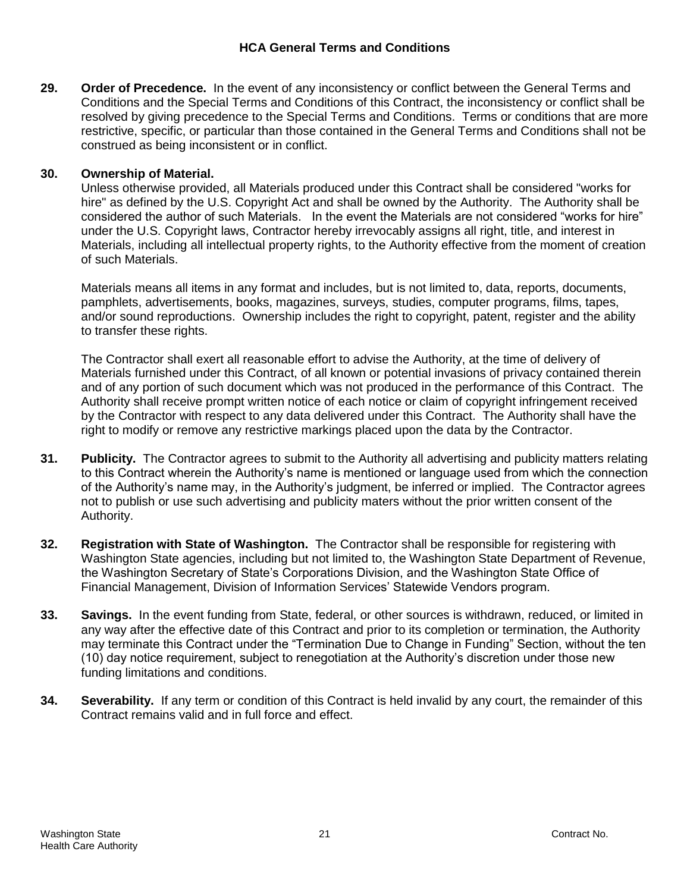### **HCA General Terms and Conditions**

**29. Order of Precedence.** In the event of any inconsistency or conflict between the General Terms and Conditions and the Special Terms and Conditions of this Contract, the inconsistency or conflict shall be resolved by giving precedence to the Special Terms and Conditions. Terms or conditions that are more restrictive, specific, or particular than those contained in the General Terms and Conditions shall not be construed as being inconsistent or in conflict.

## **30. Ownership of Material.**

Unless otherwise provided, all Materials produced under this Contract shall be considered "works for hire" as defined by the U.S. Copyright Act and shall be owned by the Authority. The Authority shall be considered the author of such Materials. In the event the Materials are not considered "works for hire" under the U.S. Copyright laws, Contractor hereby irrevocably assigns all right, title, and interest in Materials, including all intellectual property rights, to the Authority effective from the moment of creation of such Materials.

Materials means all items in any format and includes, but is not limited to, data, reports, documents, pamphlets, advertisements, books, magazines, surveys, studies, computer programs, films, tapes, and/or sound reproductions. Ownership includes the right to copyright, patent, register and the ability to transfer these rights.

The Contractor shall exert all reasonable effort to advise the Authority, at the time of delivery of Materials furnished under this Contract, of all known or potential invasions of privacy contained therein and of any portion of such document which was not produced in the performance of this Contract. The Authority shall receive prompt written notice of each notice or claim of copyright infringement received by the Contractor with respect to any data delivered under this Contract. The Authority shall have the right to modify or remove any restrictive markings placed upon the data by the Contractor.

- **31. Publicity.** The Contractor agrees to submit to the Authority all advertising and publicity matters relating to this Contract wherein the Authority's name is mentioned or language used from which the connection of the Authority's name may, in the Authority's judgment, be inferred or implied. The Contractor agrees not to publish or use such advertising and publicity maters without the prior written consent of the Authority.
- **32. Registration with State of Washington.** The Contractor shall be responsible for registering with Washington State agencies, including but not limited to, the Washington State Department of Revenue, the Washington Secretary of State's Corporations Division, and the Washington State Office of Financial Management, Division of Information Services' Statewide Vendors program.
- **33. Savings.** In the event funding from State, federal, or other sources is withdrawn, reduced, or limited in any way after the effective date of this Contract and prior to its completion or termination, the Authority may terminate this Contract under the "Termination Due to Change in Funding" Section, without the ten (10) day notice requirement, subject to renegotiation at the Authority's discretion under those new funding limitations and conditions.
- **34. Severability.** If any term or condition of this Contract is held invalid by any court, the remainder of this Contract remains valid and in full force and effect.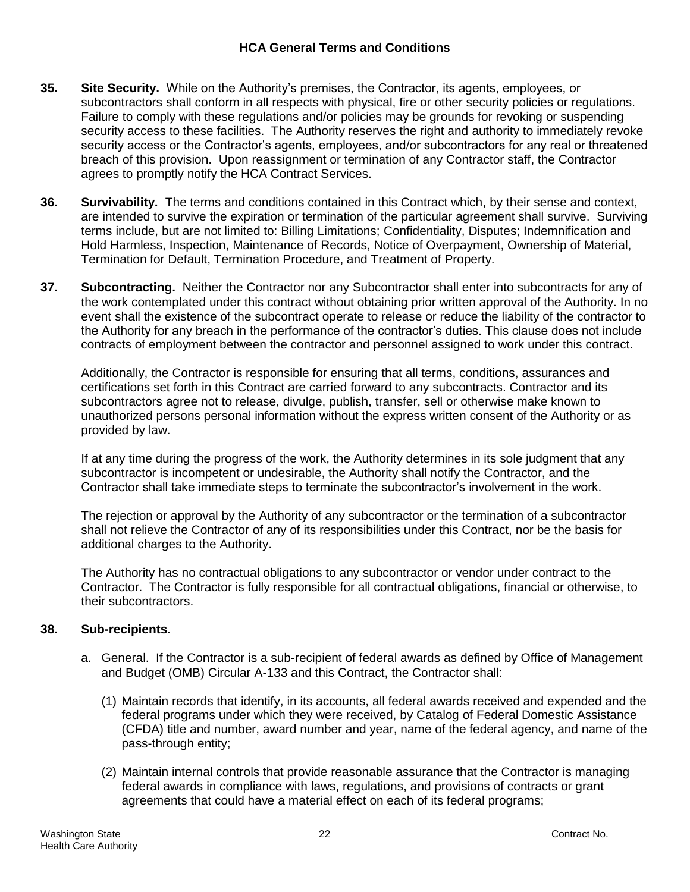- **35. Site Security.** While on the Authority's premises, the Contractor, its agents, employees, or subcontractors shall conform in all respects with physical, fire or other security policies or regulations. Failure to comply with these regulations and/or policies may be grounds for revoking or suspending security access to these facilities. The Authority reserves the right and authority to immediately revoke security access or the Contractor's agents, employees, and/or subcontractors for any real or threatened breach of this provision. Upon reassignment or termination of any Contractor staff, the Contractor agrees to promptly notify the HCA Contract Services.
- **36. Survivability.** The terms and conditions contained in this Contract which, by their sense and context, are intended to survive the expiration or termination of the particular agreement shall survive. Surviving terms include, but are not limited to: Billing Limitations; Confidentiality, Disputes; Indemnification and Hold Harmless, Inspection, Maintenance of Records, Notice of Overpayment, Ownership of Material, Termination for Default, Termination Procedure, and Treatment of Property.
- **37. Subcontracting.** Neither the Contractor nor any Subcontractor shall enter into subcontracts for any of the work contemplated under this contract without obtaining prior written approval of the Authority. In no event shall the existence of the subcontract operate to release or reduce the liability of the contractor to the Authority for any breach in the performance of the contractor's duties. This clause does not include contracts of employment between the contractor and personnel assigned to work under this contract.

Additionally, the Contractor is responsible for ensuring that all terms, conditions, assurances and certifications set forth in this Contract are carried forward to any subcontracts. Contractor and its subcontractors agree not to release, divulge, publish, transfer, sell or otherwise make known to unauthorized persons personal information without the express written consent of the Authority or as provided by law.

If at any time during the progress of the work, the Authority determines in its sole judgment that any subcontractor is incompetent or undesirable, the Authority shall notify the Contractor, and the Contractor shall take immediate steps to terminate the subcontractor's involvement in the work.

The rejection or approval by the Authority of any subcontractor or the termination of a subcontractor shall not relieve the Contractor of any of its responsibilities under this Contract, nor be the basis for additional charges to the Authority.

The Authority has no contractual obligations to any subcontractor or vendor under contract to the Contractor. The Contractor is fully responsible for all contractual obligations, financial or otherwise, to their subcontractors.

# **38. Sub-recipients**.

- a. General. If the Contractor is a sub-recipient of federal awards as defined by Office of Management and Budget (OMB) Circular A-133 and this Contract, the Contractor shall:
	- (1) Maintain records that identify, in its accounts, all federal awards received and expended and the federal programs under which they were received, by Catalog of Federal Domestic Assistance (CFDA) title and number, award number and year, name of the federal agency, and name of the pass-through entity;
	- (2) Maintain internal controls that provide reasonable assurance that the Contractor is managing federal awards in compliance with laws, regulations, and provisions of contracts or grant agreements that could have a material effect on each of its federal programs;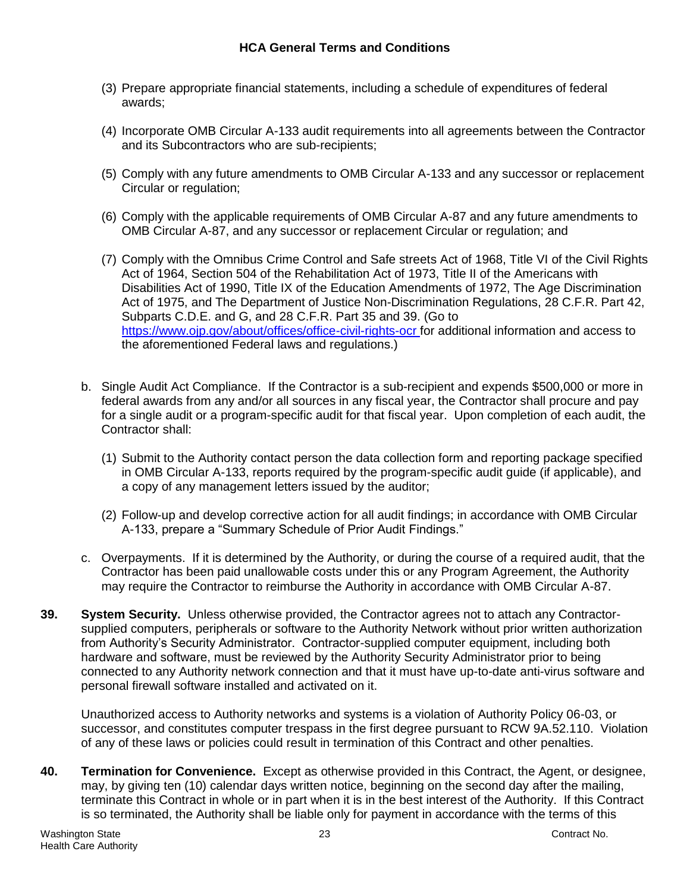- (3) Prepare appropriate financial statements, including a schedule of expenditures of federal awards;
- (4) Incorporate OMB Circular A-133 audit requirements into all agreements between the Contractor and its Subcontractors who are sub-recipients;
- (5) Comply with any future amendments to OMB Circular A-133 and any successor or replacement Circular or regulation;
- (6) Comply with the applicable requirements of OMB Circular A-87 and any future amendments to OMB Circular A-87, and any successor or replacement Circular or regulation; and
- (7) Comply with the Omnibus Crime Control and Safe streets Act of 1968, Title VI of the Civil Rights Act of 1964, Section 504 of the Rehabilitation Act of 1973, Title II of the Americans with Disabilities Act of 1990, Title IX of the Education Amendments of 1972, The Age Discrimination Act of 1975, and The Department of Justice Non-Discrimination Regulations, 28 C.F.R. Part 42, Subparts C.D.E. and G, and 28 C.F.R. Part 35 and 39. (Go to <https://www.ojp.gov/about/offices/office-civil-rights-ocr> for additional information and access to the aforementioned Federal laws and regulations.)
- b. Single Audit Act Compliance. If the Contractor is a sub-recipient and expends \$500,000 or more in federal awards from any and/or all sources in any fiscal year, the Contractor shall procure and pay for a single audit or a program-specific audit for that fiscal year. Upon completion of each audit, the Contractor shall:
	- (1) Submit to the Authority contact person the data collection form and reporting package specified in OMB Circular A-133, reports required by the program-specific audit guide (if applicable), and a copy of any management letters issued by the auditor;
	- (2) Follow-up and develop corrective action for all audit findings; in accordance with OMB Circular A-133, prepare a "Summary Schedule of Prior Audit Findings."
- c. Overpayments. If it is determined by the Authority, or during the course of a required audit, that the Contractor has been paid unallowable costs under this or any Program Agreement, the Authority may require the Contractor to reimburse the Authority in accordance with OMB Circular A-87.
- **39. System Security.** Unless otherwise provided, the Contractor agrees not to attach any Contractorsupplied computers, peripherals or software to the Authority Network without prior written authorization from Authority's Security Administrator. Contractor-supplied computer equipment, including both hardware and software, must be reviewed by the Authority Security Administrator prior to being connected to any Authority network connection and that it must have up-to-date anti-virus software and personal firewall software installed and activated on it.

Unauthorized access to Authority networks and systems is a violation of Authority Policy 06-03, or successor, and constitutes computer trespass in the first degree pursuant to RCW 9A.52.110. Violation of any of these laws or policies could result in termination of this Contract and other penalties.

**40. Termination for Convenience.** Except as otherwise provided in this Contract, the Agent, or designee, may, by giving ten (10) calendar days written notice, beginning on the second day after the mailing, terminate this Contract in whole or in part when it is in the best interest of the Authority. If this Contract is so terminated, the Authority shall be liable only for payment in accordance with the terms of this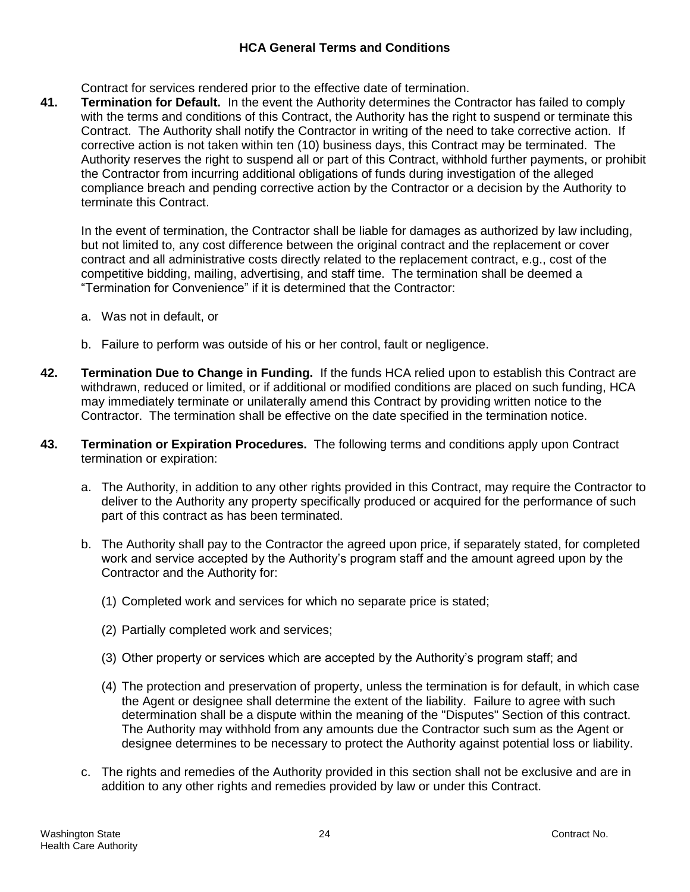# **HCA General Terms and Conditions**

Contract for services rendered prior to the effective date of termination.

**41. Termination for Default.** In the event the Authority determines the Contractor has failed to comply with the terms and conditions of this Contract, the Authority has the right to suspend or terminate this Contract. The Authority shall notify the Contractor in writing of the need to take corrective action. If corrective action is not taken within ten (10) business days, this Contract may be terminated. The Authority reserves the right to suspend all or part of this Contract, withhold further payments, or prohibit the Contractor from incurring additional obligations of funds during investigation of the alleged compliance breach and pending corrective action by the Contractor or a decision by the Authority to terminate this Contract.

In the event of termination, the Contractor shall be liable for damages as authorized by law including, but not limited to, any cost difference between the original contract and the replacement or cover contract and all administrative costs directly related to the replacement contract, e.g., cost of the competitive bidding, mailing, advertising, and staff time. The termination shall be deemed a "Termination for Convenience" if it is determined that the Contractor:

- a. Was not in default, or
- b. Failure to perform was outside of his or her control, fault or negligence.
- **42. Termination Due to Change in Funding.** If the funds HCA relied upon to establish this Contract are withdrawn, reduced or limited, or if additional or modified conditions are placed on such funding, HCA may immediately terminate or unilaterally amend this Contract by providing written notice to the Contractor. The termination shall be effective on the date specified in the termination notice.
- **43. Termination or Expiration Procedures.** The following terms and conditions apply upon Contract termination or expiration:
	- a. The Authority, in addition to any other rights provided in this Contract, may require the Contractor to deliver to the Authority any property specifically produced or acquired for the performance of such part of this contract as has been terminated.
	- b. The Authority shall pay to the Contractor the agreed upon price, if separately stated, for completed work and service accepted by the Authority's program staff and the amount agreed upon by the Contractor and the Authority for:
		- (1) Completed work and services for which no separate price is stated;
		- (2) Partially completed work and services;
		- (3) Other property or services which are accepted by the Authority's program staff; and
		- (4) The protection and preservation of property, unless the termination is for default, in which case the Agent or designee shall determine the extent of the liability. Failure to agree with such determination shall be a dispute within the meaning of the "Disputes" Section of this contract. The Authority may withhold from any amounts due the Contractor such sum as the Agent or designee determines to be necessary to protect the Authority against potential loss or liability.
	- c. The rights and remedies of the Authority provided in this section shall not be exclusive and are in addition to any other rights and remedies provided by law or under this Contract.